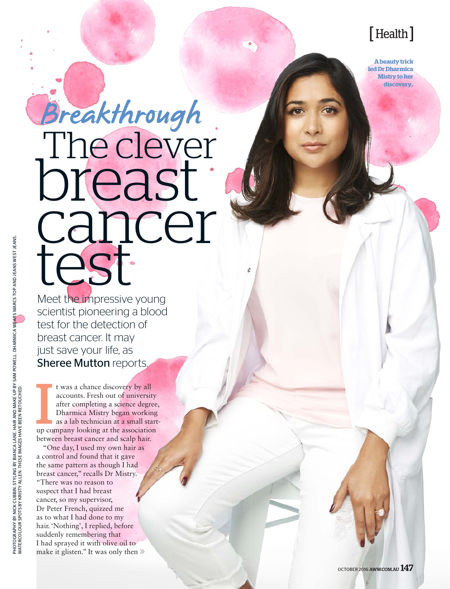## [ Health ]

**A beauty trick led Dr Dharmica Mistry to her discovery..**

# breast cancer test Breakthrough

Meet the impressive young scientist pioneering a blood test for the detection of breast cancer. It may just save your life, as Sheree Mutton reports.

t was a chance discovery by all<br>accounts. Fresh out of university<br>after completing a science degree<br>Dharmica Mistry began working<br>as a lab technician at a small start<br>up company looking at the association t was a chance discovery by all accounts. Fresh out of university after completing a science degree, Dharmica Mistry began working as a lab technician at a small startbetween breast cancer and scalp hair.

"One day, I used my own hair as a control and found that it gave the same pattern as though I had breast cancer," recalls Dr Mistry. "There was no reason to suspect that I had breast cancer, so my supervisor, Dr Peter French, quizzed me as to what I had done to my hair. 'Nothing', I replied, before suddenly remembering that I had sprayed it with olive oil to make it glisten." It was only then  $\gg$